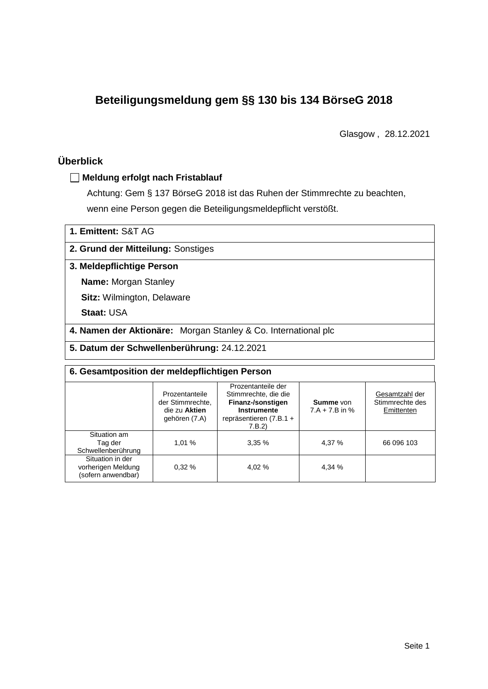# **Beteiligungsmeldung gem §§ 130 bis 134 BörseG 2018**

Glasgow , 28.12.2021

# **Überblick**

## **Meldung erfolgt nach Fristablauf**

Achtung: Gem § 137 BörseG 2018 ist das Ruhen der Stimmrechte zu beachten, wenn eine Person gegen die Beteiligungsmeldepflicht verstößt.

### **2. Grund der Mitteilung:** Sonstiges

#### **3. Meldepflichtige Person**

**Name:** Morgan Stanley

**Sitz:** Wilmington, Delaware

**Staat:** USA

**4. Namen der Aktionäre:** Morgan Stanley & Co. International plc

**5. Datum der Schwellenberührung:** 24.12.2021

| 6. Gesamtposition der meldepflichtigen Person                |                                                                      |                                                                                                                      |                                      |                                                 |  |  |
|--------------------------------------------------------------|----------------------------------------------------------------------|----------------------------------------------------------------------------------------------------------------------|--------------------------------------|-------------------------------------------------|--|--|
|                                                              | Prozentanteile<br>der Stimmrechte.<br>die zu Aktien<br>gehören (7.A) | Prozentanteile der<br>Stimmrechte, die die<br>Finanz-/sonstigen<br>Instrumente<br>repräsentieren $(7.B.1 +$<br>7.B.2 | <b>Summe</b> von<br>$7.A + 7.B$ in % | Gesamtzahl der<br>Stimmrechte des<br>Emittenten |  |  |
| Situation am<br>Tag der<br>Schwellenberührung                | 1.01%                                                                | 3,35%                                                                                                                | 4.37 %                               | 66 096 103                                      |  |  |
| Situation in der<br>vorherigen Meldung<br>(sofern anwendbar) | 0.32%                                                                | 4.02 %                                                                                                               | 4,34 %                               |                                                 |  |  |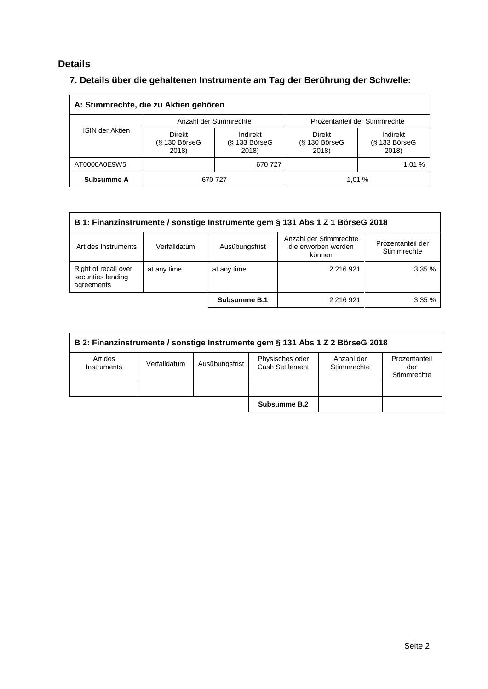# **Details**

# **7. Details über die gehaltenen Instrumente am Tag der Berührung der Schwelle:**

| A: Stimmrechte, die zu Aktien gehören |                                           |                                      |                                           |                                      |  |  |
|---------------------------------------|-------------------------------------------|--------------------------------------|-------------------------------------------|--------------------------------------|--|--|
|                                       |                                           | Anzahl der Stimmrechte               | Prozentanteil der Stimmrechte             |                                      |  |  |
| <b>ISIN der Aktien</b>                | <b>Direkt</b><br>$(S$ 130 BörseG<br>2018) | Indirekt<br>$(S$ 133 BörseG<br>2018) | <b>Direkt</b><br>$(S$ 130 BörseG<br>2018) | Indirekt<br>$(S$ 133 BörseG<br>2018) |  |  |
| AT0000A0E9W5                          |                                           | 670 727                              |                                           | 1,01 %                               |  |  |
| Subsumme A                            | 670 727                                   |                                      |                                           | 1.01%                                |  |  |

| B 1: Finanzinstrumente / sonstige Instrumente gem § 131 Abs 1 Z 1 BörseG 2018                                                                        |             |              |           |       |  |  |
|------------------------------------------------------------------------------------------------------------------------------------------------------|-------------|--------------|-----------|-------|--|--|
| Anzahl der Stimmrechte<br>Prozentanteil der<br>Ausübungsfrist<br>Art des Instruments<br>die erworben werden<br>Verfalldatum<br>Stimmrechte<br>können |             |              |           |       |  |  |
| Right of recall over<br>securities lending<br>agreements                                                                                             | at any time | at any time  | 2 216 921 | 3.35% |  |  |
|                                                                                                                                                      |             | Subsumme B.1 | 2 216 921 | 3.35% |  |  |

| B 2: Finanzinstrumente / sonstige Instrumente gem § 131 Abs 1 Z 2 BörseG 2018 |              |                |                                    |                           |                                     |
|-------------------------------------------------------------------------------|--------------|----------------|------------------------------------|---------------------------|-------------------------------------|
| Art des<br>Instruments                                                        | Verfalldatum | Ausübungsfrist | Physisches oder<br>Cash Settlement | Anzahl der<br>Stimmrechte | Prozentanteil<br>der<br>Stimmrechte |
|                                                                               |              |                |                                    |                           |                                     |
|                                                                               |              |                | Subsumme B.2                       |                           |                                     |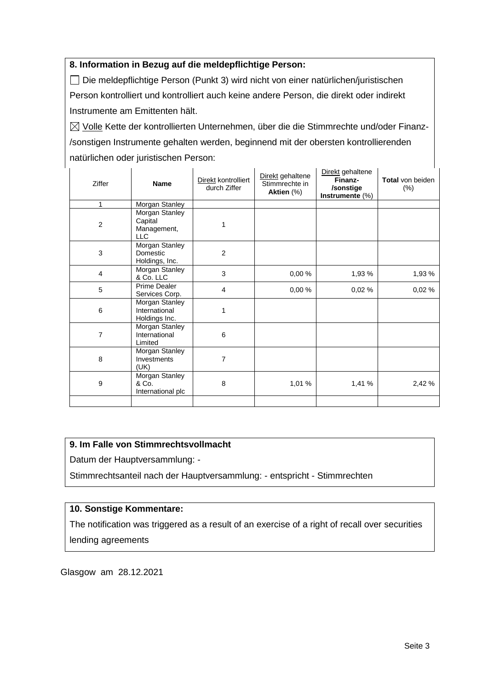## **8. Information in Bezug auf die meldepflichtige Person:**

Die meldepflichtige Person (Punkt 3) wird nicht von einer natürlichen/juristischen Person kontrolliert und kontrolliert auch keine andere Person, die direkt oder indirekt Instrumente am Emittenten hält.

 $\boxtimes$  Volle Kette der kontrollierten Unternehmen, über die die Stimmrechte und/oder Finanz-/sonstigen Instrumente gehalten werden, beginnend mit der obersten kontrollierenden natürlichen oder juristischen Person:

| Ziffer                  | <b>Name</b>                                            | Direkt kontrolliert<br>durch Ziffer | Direkt gehaltene<br>Stimmrechte in<br>Aktien (%) | Direkt gehaltene<br>Finanz-<br>/sonstige<br>Instrumente $(\%)$ | Total von beiden<br>$(\%)$ |
|-------------------------|--------------------------------------------------------|-------------------------------------|--------------------------------------------------|----------------------------------------------------------------|----------------------------|
| 1                       | Morgan Stanley                                         |                                     |                                                  |                                                                |                            |
| $\boldsymbol{2}$        | Morgan Stanley<br>Capital<br>Management,<br><b>LLC</b> | 1                                   |                                                  |                                                                |                            |
| 3                       | Morgan Stanley<br>Domestic<br>Holdings, Inc.           | $\overline{2}$                      |                                                  |                                                                |                            |
| $\overline{\mathbf{4}}$ | Morgan Stanley<br>& Co. LLC                            | 3                                   | 0,00%                                            | 1,93 %                                                         | 1,93 %                     |
| 5                       | Prime Dealer<br>Services Corp.                         | $\overline{4}$                      | 0,00 %                                           | 0,02%                                                          | 0,02%                      |
| 6                       | Morgan Stanley<br>International<br>Holdings Inc.       | 1                                   |                                                  |                                                                |                            |
| 7                       | Morgan Stanley<br>International<br>Limited             | 6                                   |                                                  |                                                                |                            |
| 8                       | Morgan Stanley<br>Investments<br>(UK)                  | 7                                   |                                                  |                                                                |                            |
| 9                       | Morgan Stanley<br>& Co.<br>International plc           | 8                                   | 1,01 %                                           | 1,41 %                                                         | 2,42 %                     |
|                         |                                                        |                                     |                                                  |                                                                |                            |

## **9. Im Falle von Stimmrechtsvollmacht**

Datum der Hauptversammlung: -

Stimmrechtsanteil nach der Hauptversammlung: - entspricht - Stimmrechten

#### **10. Sonstige Kommentare:**

The notification was triggered as a result of an exercise of a right of recall over securities lending agreements

Glasgow am 28.12.2021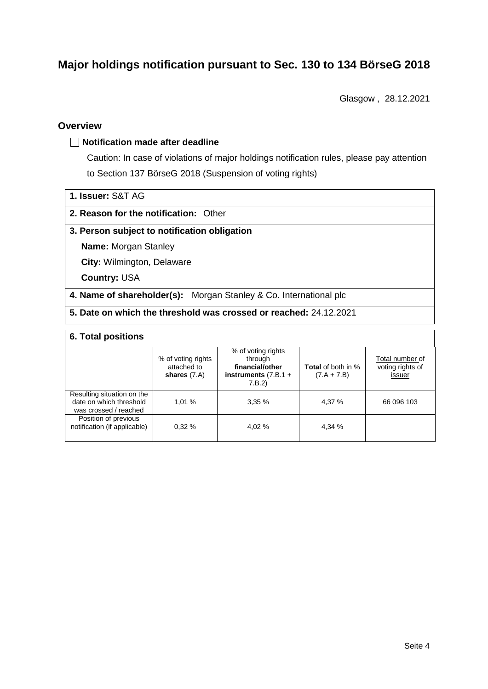# **Major holdings notification pursuant to Sec. 130 to 134 BörseG 2018**

Glasgow , 28.12.2021

## **Overview**

#### **Notification made after deadline**

Caution: In case of violations of major holdings notification rules, please pay attention to Section 137 BörseG 2018 (Suspension of voting rights)

| 1. Issuer: S&T AG |  |
|-------------------|--|
|                   |  |

#### **2. Reason for the notification:** Other

#### **3. Person subject to notification obligation**

**Name:** Morgan Stanley

**City:** Wilmington, Delaware

**Country:** USA

**4. Name of shareholder(s):** Morgan Stanley & Co. International plc

**5. Date on which the threshold was crossed or reached:** 24.12.2021

## **6. Total positions**

|                                                                                | % of voting rights<br>attached to<br>shares $(7.A)$ | % of voting rights<br>through<br>financial/other<br>instruments $(7.B.1 +$<br>7.B.2 | <b>Total</b> of both in %<br>$(7.A + 7.B)$ | Total number of<br>voting rights of<br>issuer |  |  |
|--------------------------------------------------------------------------------|-----------------------------------------------------|-------------------------------------------------------------------------------------|--------------------------------------------|-----------------------------------------------|--|--|
| Resulting situation on the<br>date on which threshold<br>was crossed / reached | 1.01%                                               | 3.35%                                                                               | 4.37 %                                     | 66 096 103                                    |  |  |
| Position of previous<br>notification (if applicable)                           | 0.32%                                               | 4.02 %                                                                              | 4,34 %                                     |                                               |  |  |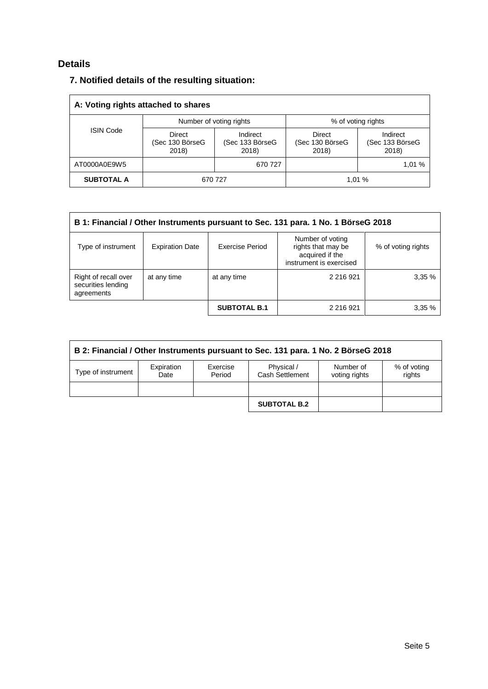# **Details**

# **7. Notified details of the resulting situation:**

| A: Voting rights attached to shares |                                    |                                      |                                           |                                      |  |  |
|-------------------------------------|------------------------------------|--------------------------------------|-------------------------------------------|--------------------------------------|--|--|
|                                     |                                    | Number of voting rights              | % of voting rights                        |                                      |  |  |
| <b>ISIN Code</b>                    | Direct<br>(Sec 130 BörseG<br>2018) | Indirect<br>(Sec 133 BörseG<br>2018) | <b>Direct</b><br>(Sec 130 BörseG<br>2018) | Indirect<br>(Sec 133 BörseG<br>2018) |  |  |
| AT0000A0E9W5                        |                                    | 670 727                              |                                           | 1.01 %                               |  |  |
| <b>SUBTOTAL A</b>                   | 670 727                            |                                      |                                           | 1,01%                                |  |  |

| B 1: Financial / Other Instruments pursuant to Sec. 131 para. 1 No. 1 BörseG 2018                                                                                             |             |                     |            |       |  |
|-------------------------------------------------------------------------------------------------------------------------------------------------------------------------------|-------------|---------------------|------------|-------|--|
| Number of voting<br>Exercise Period<br>rights that may be<br><b>Expiration Date</b><br>Type of instrument<br>% of voting rights<br>acquired if the<br>instrument is exercised |             |                     |            |       |  |
| Right of recall over<br>securities lending<br>agreements                                                                                                                      | at any time | at any time         | 2 216 9 21 | 3,35% |  |
|                                                                                                                                                                               |             | <b>SUBTOTAL B.1</b> | 2 216 9 21 | 3,35% |  |

| B 2: Financial / Other Instruments pursuant to Sec. 131 para. 1 No. 2 BörseG 2018 |                    |                    |                               |                            |                       |  |
|-----------------------------------------------------------------------------------|--------------------|--------------------|-------------------------------|----------------------------|-----------------------|--|
| Type of instrument                                                                | Expiration<br>Date | Exercise<br>Period | Physical /<br>Cash Settlement | Number of<br>voting rights | % of voting<br>rights |  |
|                                                                                   |                    |                    |                               |                            |                       |  |
|                                                                                   |                    |                    | <b>SUBTOTAL B.2</b>           |                            |                       |  |